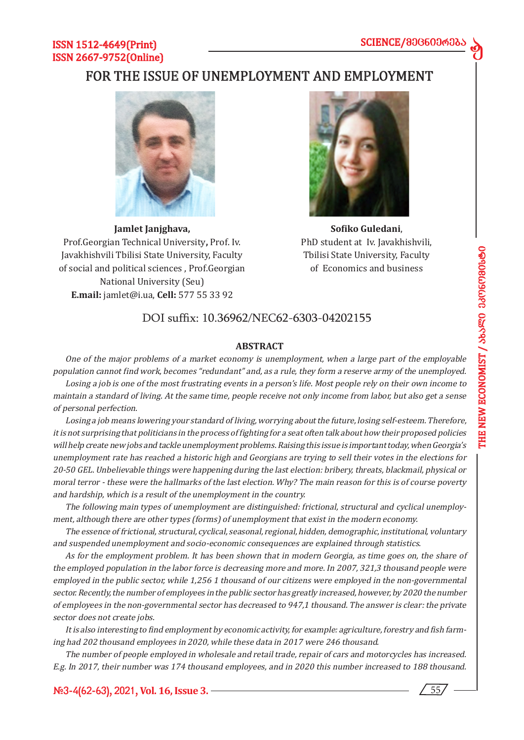d

# ISSN 1512-4649(Print) ISSN 2667-9752(Online)

# FOR THE ISSUE OF UNEMPLOYMENT AND EMPLOYMENT



**Jamlet Janjghava,**  Prof.Georgian Technical University**,** Prof. Iv. Javakhishvili Tbilisi State University, Faculty of social and political sciences , Prof.Georgian National University (Seu) **E.mail:** jamlet@i.ua, **Cell:** 577 55 33 92



**Sofiko Guledani**, PhD student at Iv. Javakhishvili, Tbilisi State University, Faculty of Economics and business

# DOI suffix: 10.36962/NEC62-6303-04202155

## **ABSTRACT**

One of the major problems of a market economy is unemployment, when a large part of the employable population cannot find work, becomes "redundant" and, as a rule, they form a reserve army of the unemployed. Losing a job is one of the most frustrating events in a person's life. Most people rely on their own income to maintain a standard of living. At the same time, people receive not only income from labor, but also get a sense of personal perfection.

Losing a job means lowering your standard of living, worrying about the future, losing self-esteem. Therefore, it is not surprising that politicians in the process of fighting for a seat often talk about how their proposed policies will help create new jobs and tackle unemployment problems. Raising this issue is important today, when Georgia's unemployment rate has reached a historic high and Georgians are trying to sell their votes in the elections for 20-50 GEL. Unbelievable things were happening during the last election: bribery, threats, blackmail, physical or moral terror - these were the hallmarks of the last election. Why? The main reason for this is of course poverty and hardship, which is a result of the unemployment in the country.

The following main types of unemployment are distinguished: frictional, structural and cyclical unemployment, although there are other types (forms) of unemployment that exist in the modern economy.

The essence of frictional, structural, cyclical, seasonal, regional, hidden, demographic, institutional, voluntary and suspended unemployment and socio-economic consequences are explained through statistics.

As for the employment problem. It has been shown that in modern Georgia, as time goes on, the share of the employed population in the labor force is decreasing more and more. In 2007, 321,3 thousand people were employed in the public sector, while 1,256 1 thousand of our citizens were employed in the non-governmental sector. Recently, the number of employees in the public sector has greatly increased, however, by 2020 the number of employees in the non-governmental sector has decreased to 947,1 thousand. The answer is clear: the private sector does not create jobs.

It is also interesting to find employment by economic activity, for example: agriculture, forestry and fish farming had 202 thousand employees in 2020, while these data in 2017 were 246 thousand.

The number of people employed in wholesale and retail trade, repair of cars and motorcycles has increased. E.g. In 2017, their number was 174 thousand employees, and in 2020 this number increased to 188 thousand.

**#3-4(62-63), 2021, Vol. 16, Issue 3.** 55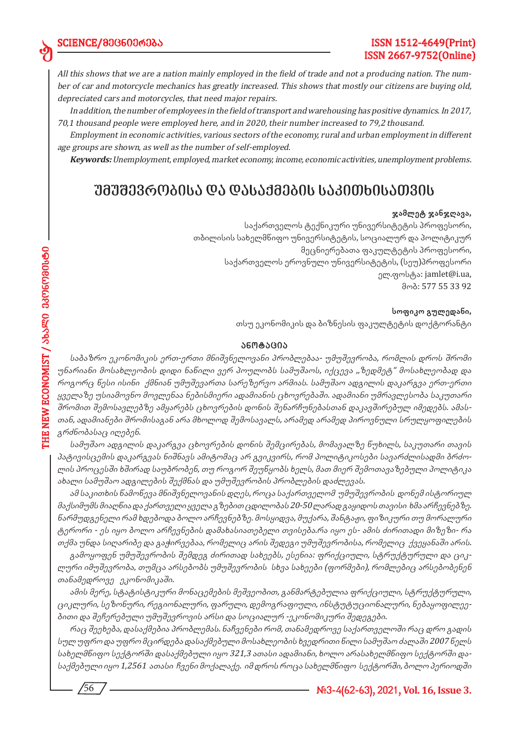All this shows that we are a nation mainly employed in the field of trade and not a producing nation. The number of car and motorcycle mechanics has greatly increased. This shows that mostly our citizens are buying old, depreciated cars and motorcycles, that need major repairs.

In addition, the number of employees in the field of transport and warehousing has positive dynamics. In 2017, 70,1 thousand people were employed here, and in 2020, their number increased to 79,2 thousand.

Employment in economic activities, various sectors of the economy, rural and urban employment in different age groups are shown, as well as the number of self-employed.

**Keywords:** Unemployment, employed, market economy, income, economic activities, unemployment problems.

# *უმუშევრობისა და დასაქმების საკითხისათვის*

#### **ჯამლეტ ჯანჯღავა,**

საქართველოს ტექნიკური უნივერსიტეტის პროფესორი, თბილისის სახელმწიფო უნივერსიტეტის, სოციალურ და პოლიტიკურ მეცნიერებათა ფაკულტეტის პროფესორი, საქართველოს ეროვნული უნივერსიტეტის, (სეუ)პროფესორი ელ.ფოსტა: jamlet@i.ua, მობ: 577 55 33 92

#### **სოფიკო გულედანი,**

თსუ ეკონომიკის და ბიზნესის ფაკულტეტის დოქტორანტი

### **ანო ტა ცია**

საბაზრო ეკონომიკის ერთ-ერთი მნიშვნელოვანი პრობლებაა- უმუშევრობა, რომლის დროს შრომი <sup>უ</sup>ნარიანი მოსახლეობის დიდი ნაწილი ვერ პოულობს სამუშაოს, იქცევა ,,ზედმეტ" მოსახლეობად და როგორც წესი ისინი ქმნიან უმუშევართა სარეზერვო არმიას. სამუშაო ადგილის დაკარგვა ერთ-ერთი ყველაზე უსიამოვნო მოვლენაა ნებისმიერი ადამიანის ცხოვრებაში. ადამიანი უმრავლესობა საკუთარი შრომით შემოსავლებზე ამყარებს ცხოვრების დონის შენარჩუნებასთან დაკავშირებულ იმედებს. ამასთან, ადამიანები შრომისაგან არა მხოლოდ შემოსავალს, არამედ არამედ პიროვნული სრულყოფილების <sup>გ</sup>რძნობასაც იღებენ.

სამუშაო ადგილის დაკარგვა ცხოვრების დონის შემცირებას, მომავალზე წუხილს, საკუთარი თავის პატივისცემის დაკარგვას ნიშნავს ამიტომაც არ გვიკვირს, რომ პოლიტიკოსები სავარძლისადმი ბრძოლის პროცესში ხშირად საუბრობენ, თუ როგორ შეუწყობს ხელს, მათ მიერ შემოთავაზებული პოლიტიკა ახალი სამუშაო ადგილების შექმნას და უმუშევრობის პრობლების დაძლევას.

ამ საკითხის წამოწევა მნიშვნელოვანის დღეს, როცა საქართველომ უმუშევრობის დონემ ისტორიულ მაქსიმუმს მიაღწია და ქართველი ყველა გზებით ცდილობას 20-50 ლარად გაყიდოს თავისი ხმა არჩევნებზე. წარმუდგენელი რამ ხდებოდა ბოლო არჩევნებზე. მოსყიდვა, მუქარა, შანტაჟი, ფიზიკური თუ მორალური ტერორი - ეს იყო ბოლო არჩევნების დამახასიათებელი თვისება.რა იყო ეს- ამის ძირითადი მიზეზი- რა თქმა უნდა სიღარიბე და გაჭირვებაა, რომელიც არის შედეგი უმუშევრობისა, რომელიც ქვეყანაში არის.

გამოყოფენ უმუშევრობის შემდეგ ძირითად სახეებს, ესენია: ფრიქციული, სტრუქტურული და ციკლური იმუშევრობა, თუმცა არსებობს უმუშევრობის სხვა სახეები (ფორმები), რომლებიც არსებობენენ თანამედროვე ეკონომიკაში.

ამის მერე, სტატისტიკური მონაცემების მეშვეობით, განმარტებულია ფრიქციული, სტრუქტურული, ციკლური, სეზონური, რეგიონალური, ფარული, დემოგრაფიული, ინსტუტუციონალური, ნებაყოფილეებითი და შეჩერებული უმუშევროვის არსი და სოციალურ -ეკონომიკური შედეგები.

რაც შეეხება, დასაქმებია პრობლემას. ნაჩვენები რომ, თანამედროვე საქართველოში რაც დრო გადის სულ უფრო და უფრო მცირდება დასაქმებული მოსახლეობის ხვედრითი წილი სამუშაო ძალაში 2007 წელს სახელმწიფო სექტორში დასაქმებული იყო 321,3 ათასი ადამიანი, ხოლო არასახელმწიფო სექტორში დასაქმებული იყო 1,2561 ათასი ჩვენი მოქალაქე. იმ დროს როცა სახელმწიფო სექტორში, ბოლო პერიოდში

ed

56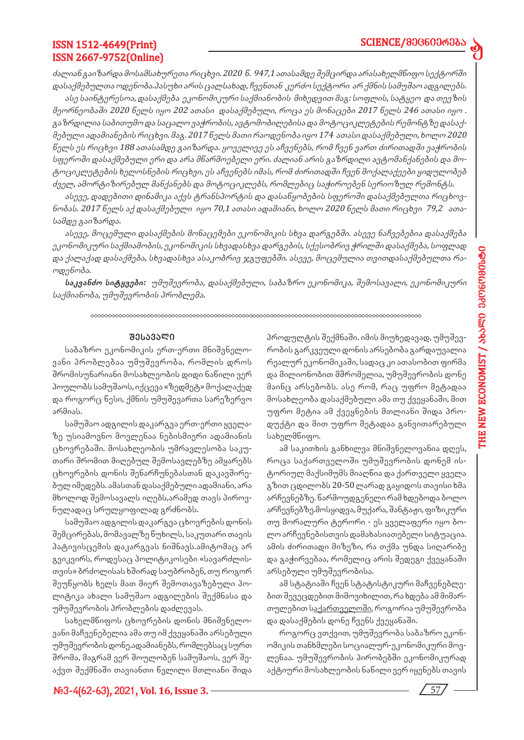d

# ISSN 1512-4649(Print) ISSN 2667-9752(Online)

ძალიან გაიზარდა მოსამსახურეთა რიცხვი. 2020 წ. 947,1 ათასამდე შემცირდა არასახელმწიფო სექტორში დასაქმებულთა ოდენობა.პასუხი არის ცალსახად, ჩვენთან კერძო სექტორი არ ქმნის სამუშაო ადგილებს.

ასე საინტერესოა, დასაქმება ეკონომიკური საქმიანობის მიხედვით მაგ: სოფლის, სატყეო და თევზის მეორნეობაში 2020 წელს იყო 202 ათასი დასაქმებული, როცა ეს მონაცები 2017 წელს 246 ათასი იყო . გაზრდილია საბითუმო და საცალო ვაჭრობის, ავტომობილებისა და მოტოციკლეტების რემონტზე დასაქმებული ადამიანების რიცხვი. მაგ. 2017 წელს მათი რაოდენობა იყო 174 ათასი დასაქმებული, ხოლო 2020 წელს ეს რიცხვი 188 ათასამდე გაიზარდა. ყოველივე ეს აჩვენებს, რომ ჩვენ ვართ ძირითადში ვაჭრობის სფეროში დასაქმებული ერი და არა მწარმოებელი ერი. ძალიან არის გაზრდილი ავტომანქანების და მოტოციკლეტების ხელოსნების რიცხვი, ეს აჩვენებს იმას, რომ ძირითადში ჩვენ მოქალაქეები ყიდულობებ ძველ, ამორტიზირებულ მანქანებს და მოტოციკლებს, რომლებიც საჭიროებენ სერიოზულ რემონტს.

ასევე, დადებითი დინამიკა აქვს ტრანსპორტის და დასაწყობების სფეროში დასაქმებულთა რიცხოვნობას. 2017 წელს აქ დასაქმებული იყო 70,1 ათასი ადამიანი, ხოლო 2020 წელს მათი რიცხვი 79,2 ათასამდე გაიზარდა.

ასევე, მოცემული დასაქმების მონაცემები ეკონომიკის სხვა დარგებში. ასევე ნაჩვებებია დასაქმება ეკონომიკური საქმიამობის, ეკონომიკის სხვადასხვა დარგების, სქესობრივ ჭრილში დასაქმება, სოფლად და ქალაქად დასაქმება, სხვადასხვა ასაკობრივ ჯგუფებში. ასევე, მოცემულია თვითდასაქმებულთა რაოდენობა.

**საკვანძო სიტყვები:** უმუშევრობა, დასაქმებული, საბაზრო ეკონომიკა, შემოსავალი, ეკონომიკური საქმიანობა, უმუშევრობის პრობლემა.

#### **შე სა ვა ლი**

საბაზრო ეკონომიკის ერთ-ერთი მნიშვნელოვანი პრობლებაა უმუშევრობა, რომლის დროს შრომისუნარიანი მოსახლეობის დიდი ნაწილი ვერ პოულობს სამუშაოს, იქცევა «ზედმეტ» მოქალაქედ და როგორც წესი, ქმნის უმუშევართა სარეზერვო არმიას.

სამუშაო ადგილის დაკარგვა ერთ-ერთი ყველაზე უსიამოვნო მოვლენაა ნებისმიერი ადამიანის ცხოვრებაში. მოსახლეობის უმრავლესობა საკუთარი შრომით მიღებულ შემოსავლებზე ამყარებს ცხოვრების დონის შენარჩუნებასთან დაკავშირებულ იმედებს. ამასთან დასაქმებული ადამიანი, არა მხოლოდ შემოსავალს იღებს,არამედ თავს პიროვნულადაც სრულყოფილად გრძნობს.

სამუშაო ადგილის დაკარგვა ცხოვრების დონის შემცირებას, მომავალზე წუხილს, საკუთარი თავის პატივისცემის დაკარგვას ნიშნავს.ამიტომაც არ გვიკვირს, როდესაც პოლიტიკოსები «სავარძლისთვის» ბრძოლისას ხშირად საუბრობენ, თუ როგორ შეუწყობს ხელს მათ მიერ შემოთავაზებული პოლიტიკა ახალი სამუშაო ადგილების შექმნასა და უმუშევრობის პრობლების დაძლევას.

სახელმწიფოს ცხოვრების დონის მნიშვნელოვანი მაჩვენებელია ამა თუ იმ ქვეყანაში არსებული უმუშევრობის დონე.ადამიანებს, რომლებსაც სურთ შრომა, მაგრამ ვერ შოულობენ სამუშაოს, ვერ შეაქვთ შექმნაში თავიანთი წვლილი მთლიანი შიდა პროდულტის შექმნაში. იმის მიუხედავად, უმუშევრობის გარკვეული დონის არსებობა გარდაუვალია რეალურ ეკონომიკაში, სადაც კი ათასობით ფირმა და მილიონობით მშრომელია, უმუშევრობის დონე მაინც არსებობს. ასე რომ, რაც უფრო მეტადაა მოსახლეობა დასაქმებული ამა თუ ქვეყანაში, მით უფრო მეტია ამ ქვეყნების მთლიანი შიდა პროდუქტი და მით უფრო მეტადაა განვითარებული სახელმწიფო.

ამ საკითხის განხილვა მნიშვნელოვანია დღეს, როცა საქართველოში უმუშევრობის დონემ ისტორიულ მაქსიმუმს მიაღწია და ქართველი ყველა გზით ცდილობს 20-50 ლარად გაყიდოს თავისი ხმა არჩევნებზე. წარმოუდგენელი რამ ხდებოდა ბოლო არჩევნებზე.მოსყიდვა, მუქარა, შანტაჟი, ფიზიკური თუ მორალური ტერორი - ეს ყველაფერი იყო ბოლო არჩევნებისთვის დამახასიათებელი სიტუაცია. ამის ძირითადი მიზეზი, რა თქმა უნდა სიღარიბე და გაჭირვებაა, რომელიც არის შედეგი ქვეყანაში არსებული უმუშევრობისა.

ამ სტატიაში ჩვენ სტატისტიკური მაჩვენებლებით შევეცდებით მიმოვიხილით, რა ხდება ამ მიმართულებით ს<u>აქართველოში</u>, როგორია უმუშევრობა და დასაქმების დონე ჩვენს ქვეყანაში.

როგორც ვთქვით, უმუშევრობა საბაზრო ეკონომიკის თანხმლები სოციალურ-ეკონომიკური მოვლენაა. უმუშევრობის პირობებში ეკონომიკურად აქტიური მოსახლეობის ნაწილი ვერ იყენებს თავის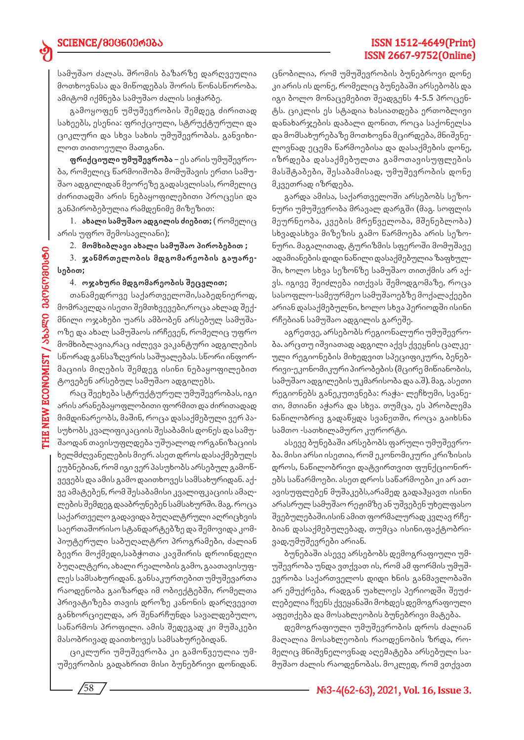# SCIENCE/800600606

სამუშაო ძალას. შრომის ბაზარზე დარღვეულია მოთხოვნასა და მიწოდებას შორის წონასწორობა. ამიტომ იქმნება სამუშაო ძალის სიჭარბე.

გამოყოფენ უმუშევრობის შემდეგ ძირითად სახეებს, ესენია: ფრიქციული, სტრუქტურული და ციკლური და სხვა სახის უმუშევრობას. განვიხილოთ თითოეული მათგანი.

**ფრიქციული უმუშევრობა** – ეს არის უმუშევრობა, რომელიც წარმოიშობა მომუშავის ერთი სამუშაო ადგილიდან მეორეზე გადასვლისას, რომელიც ძირითადში არის ნებაყოფილებითი პროცესი და განპირობებულია რამდენიმე მიზეზით:

1. **ახალი სამუშაო ადგილის ძიებით;** ( რომელიც არის უფრო შემოსავლიანი);

2. **მომხიბლავი ახალი სამუშაო პირობებით ;**

3. **ჯანმრთელობის მდგომარეობის გაუარესებით;**

#### 4. **ოჯახური მდგომარეობის შეცვლით;**

თანამედროვე საქართველოში,საბედნიეროდ, მომრავლდა ისეთი შემთხვევები,როცა ახლად შექმნილი ოჯახები უარს ამბობენ არსებულ სამუშაოზე და ახალ სამუშაოს ირჩევენ, რომელიც უფრო მომხიბლავია,რაც იძლევა ვაკანტური ადგილების სწორად განსაზღვრის საშუალებას. სწორი ინფორმაციის მიღების შემდეგ ისინი ნებაყოფილებით ტოვებენ არსებულ სამუშაო ადგილებს.

რაც შეეხება სტრუქტურულ უმუშევრობას, იგი არის არანებაყოფლობითი ფორმით და ძირითადად მიმდინარეობს, მაშინ, როცა დასაქმებული ვერ პასუხობს კვალიფიკაციის შესაბამის დონეს და სამუშაოდან თავისუფლდება უშუალოდ ორგანიზაციის ხელმძღვანელების მიერ. ასეთ დროს დასაქმებულს ეუბნებიან, რომ იგი ვერ პასუხობს არსებულ გამოწვევებს და ამის გამო დაითხოვეს სამსახურიდან. აქვე ამატებენ, რომ შესაბამისი კვალიფკაციის ამაღლების შემდეგ დააბრუნებენ სამსახურში. მაგ. როცა საქართველო გადავიდა ბუღალტრული აღრიცხვის საერთაშორისო სტანდარტებზე და შემოვიდა კომპიუტერული საბუღალტრო პროგრამები, ძალიან ბევრი მოქმედი,საბჭოთა კავშირის დროინდელი ბუღალტერი, ახალი რეალობის გამო, გაათავისუფლეს სამსახურიდან. განსაკურთებით უმუშევართა რაოდენობა გაიზარდა იმ ობიექტებში, რომელთა პრივატიზება თავის დროზე კანონის დარღვევით განხორციელდა, არ შენარჩუნდა სავალდებულო, საწარმოს პროფილი. ამის შედეგად კი მუშაკები მასობრივად დაითხოვეს სამსახურებიდან.

ციკლური უმუშევრობა კი გამოწვეულია უმუშევრობის გადახრით მისი ბუნებრივი დონიდან.

ცნობილია, რომ უმუშევრობის ბუნებროვი დონე კი არის ის დონე, რომელიც ბუნებაში არსებობს და იგი ბოლო მონაცემებით შეადგენს 4-5.5 პროცენტს. ციკლის ეს სტადია ხასიათდება ერთობლივი დანახარჯების დაბალი დონით, როცა საქონელსა და მომსახურებაზე მოთხოვნა მცირდება, მნიშვნელოვნად ეცემა წარმოებისა და დასაქმების დონე, იზრდება დასაქმებულთა გამოთავისუფლების მასშტაბები, შესაბამისად, უმუშევრობის დონე მკვეთრად იზრდება.

გარდა ამისა, საქართველოში არსებობს სეზონური უმუშევრობა მრავალ დარგში (მაგ. სოფლის მეურნეობა, კვების მრეწველობა, მშენებლობა) სხვადასხვა მიზეზის გამო წარმოება არის სეზონური. მაგალითად, ტურიზმის სფეროში მომუშავე ადამიანების დიდი ნაწილი დასაქმებულია ზაფხულში, ხოლო სხვა სეზონზე სამუშაო თითქმის არ აქვს. იგივე შეიძლება ითქვას შემოდგომაზე, როცა სასოფლო-სამეურმეო სამუშაოებზე მოქალაქეები არიან დასაქმებულნი, ხოლო სხვა პერიოდში ისინი რჩებიან სამუშაო ადგილის გარეშე.

აგრეთვე, არსებობს რეგიონალური უმუშევრობა. არცთუ იშვიათად ადგილი აქვს ქვეყნის ცალკეული რეგიონების მიხედვით სპეციფიკური, ბენებრივი-ეკონომიკური პირობების (მცირე მიწიანობის, სამუშაო ადგილების უკმარისობა და ა.შ). მაგ. ასეთი რეგიონებს განეკუთვნება: რაჭა- ლეჩხუმი, სვანეთი, მთიანი აჭარა და სხვა. თუმცა, ეს პრობლემა ნაწილობრივ გადაწყდა სვანეთში, როცა გაიხსნა სამთო -სათხილამურო კურორტი.

ასევე ბუნებაში არსებობს ფარული უმუშევრობა. მისი არსი ისეთია, რომ ეკონომიკური კრიზისის დროს, ნაწილობრივი დატვირთვით ფუნქციონირებს საწარმოები. ასეთ დროს საწარმოები კი არ ათავისუფლებენ მუშაკებს,არამედ გადაჰყავთ ისინი არასრულ სამუშაო რეჟიმზე ან უშვებენ უხელფასო შვებულებაში.ისინ ამით ფორმალურად კვლავ რჩებიან დასაქმებულებად, თუმცა ისინი,ფაქტობრივად,უმუშევრები არიან.

ბუნებაში ასევე არსებობს დემოგრაფიული უმუშევრობა უნდა ვთქვათ ის, რომ ამ ფორმის უმუშევრობა საქართველოს დიდი ხნის განმავლობაში არ ემუქრება, რადგან უახლოეს პერიოდში შეუძლებელია ჩვენს ქვეყანაში მოხდეს დემოგრაფიული აფეთქება და მოსახლეობის ბუნებრივი მატება.

დემოგრაფიული უმუშევრობის დროს ძალიან მაღალია მოსახლეობის რაოდენობის ზრდა, რომელიც მნიშვნელოვნად აღემატება არსებული სამუშაო ძალის რაოდენობას. მოკლედ, რომ ვთქვათ

58

ed

# ISSN 1512-4649(Print) ISSN 2667-9752(Online)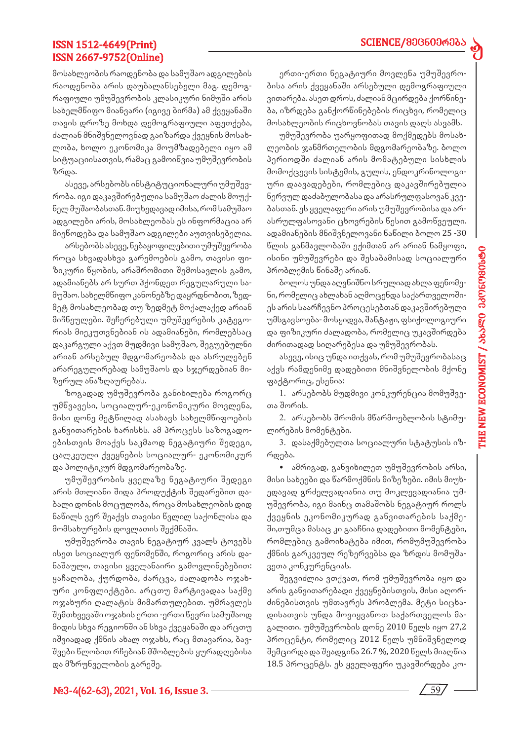# **SCIENCE/მ**მG60მრმბა

d

# ISSN 1512-4649(Print) ISSN 2667-9752(Online)

მოსახლეობის რაოდენობა და სამუშაო ადგილების რაოდენობა არის დაუბალანსებელი მაგ. დემოგრაფიული უმუშევრობის კლასიკური ნიმუში არის სახელმწიფო მიანვარი (იგივე ბირმა) ამ ქვეყანაში თავის დროზე მოხდა დემოგრაფიული აფეთქება, ძალიან მნიშვნელოვნად გაიზარდა ქვეყნის მოსახლობა, ხოლო ეკონომიკა მოუმზადებელი იყო ამ სიტუაციისათვის, რამაც გამოიწვია უმუშევრობის ზრდა.

ასევე, არსებობს ინსტიტუციონალური უმუშევრობა. იგი დაკავშირებულია სამუშაო ძალის მოუქნელ მუშაობასთან. მიუხედავად იმისა, რომ სამუშაო ადგილები არის, მოსახლეობას ეს ინფორმაცია არ მიეწოდება და სამუშაო ადგილები აუთვისებელია.

არსებობს ასევე, ნებაყოფილებითი უმუშევრობა როცა სხვადასხვა გარემოების გამო, თავისი ფიზიკური წყობის, არაშრომითი შემოსავლის გამო, ადამიანებს არ სურთ ჰქონდეთ რეგულარული სამუშაო. სახელმწიფო კანონებზე დაყრდნობით, ზედმეტ მოსახლეობად თუ ზედმეტ მოქალაქედ არიან მიჩნეულები. შეჩერებული უმუშევრების კატეგორიას მიეკუთვნებიან ის ადამიანები, რომლებსაც დაკარგული აქვთ მუდმივი სამუშაო, შეგუებულნი არიან არსებულ მდგომარეობას და ასრულებენ არარეგულირებად სამუშაოს და სჯერდებიან მიზერულ ანაზღაურებას.

ზოგადად უმუშევრობა განიხილება როგორც უმწვავესი, სოციალურ-ეკონომიკური მოვლენა, მისი დონე მეტწილად ასახავს სახელმწიფოების განვითარების ხარისხს. ამ პროცესს საზოგადოებისთვის მოაქვს საკმაოდ ნეგატიური შედეგი, ცალკეული ქვეყნების სოციალურ- ეკონომიკურ და პოლიტიკურ მდგომარეობაზე.

უმუშევრობის ყველაზე ნეგატიური შედეგი არის მთლიანი შიდა პროდუქტის შედარებით დაბალი დონის მოცულობა, როცა მოსახლეობის დიდ ნაწილს ვერ შეაქვს თავისი წვლილ საქონლისა და მომსახურების დოვლათის შექმნაში.

უმუშევრობა თავის ნეგატიურ კვალს ტოვებს ისეთ სოციალურ ფენომენში, როგორიც არის დანაშაული, თავისი ყველანაირი გამოვლინებებით: ყაჩაღობა, ქურდობა, ძარცვა, ძალადობა ოჯახური კონფლიქტები. არცთუ მარტივადაა საქმე ოჯახური ღალატის მიმართულებით. უმრავლეს შემთხვევაში ოჯახის ერთი -ერთი წევრი სამუშაოდ მიდის სხვა რეგიონში ან სხვა ქვეყანაში და არცთუ იშვიადად ქმნის ახალ ოჯახს, რაც მთავარია, ბავშვები წლობით რჩებიან მშობლების ყურადღებისა და მზრუნველობის გარეშე.

ერთი-ერთი ნეგატიური მოვლენა უმუშევრობისა არის ქვეყანაში არსებული დემოგრაფიული ვითარება. ასეთ დროს, ძალიან მცირდება ქორწინება, იზრდება განქორწინებების რიცხვი, რომელიც მოსახლეობის რიცხოვნობას თავის დაღს ასვამს.

უმუშევრობა უარყოფითად მოქმედებს მოსახლეობის ჯანმრთელობის მდგომარეობაზე. ბოლო პერიოდში ძალიან არის მომატებული სისხლის მომოქცევის სისტემის, გულის, ენდოკრინოლოგიური დაავადებები, რომლებიც დაკავშირებულია ნერვულ დაძაბულობასა და არასრულფასოვან კვებასთან. ეს ყველაფერი არის უმუშევრობისა და არასრულფასოვანი ცხოვრების წესით გამოწვეული. ადამიანების მნიშვნელოვანი ნაწილი ბოლო 25 -30 წლის განმავლობაში ექიმთან არ არიან ნამყოფი, ისინი უმუშევრები და შესაბამისად სოციალური პრობლემის წინაშე არიან.

ბოლოს უნდა აღვნიშნო სრულიად ახლა ფენომენი, რომელიც ახლახან აღმოცენდა საქართველოშიეს არის საარჩევნო პროცესებთან დაკავშირებული უმსგავსოება- მოსყიდვა, შანტაჟი, ფსიქოლოგიური და ფიზიკური ძალადობა, რომელიც უკავშირდება ძირითადად სიღარებესა და უმუშევრობას.

ასევე, ისიც უნდა ითქვას, რომ უმუშევრობასაც აქვს რამდენიმე დადებითი მნიშვნელობის მქონე ფაქტორიც, ესენია:

1. არსებობს მუდმივი კონკურენცია მომუშვეთა შორის.

2. არსებობს შრომის მწარმოებლობის სტიმულირების მომენტები.

3. დასაქმებულთა სოციალური სტატუსის იზრდება.

*•* ამრიგად, განვიხილეთ უმუშევრობის არსი, მისი სახეები და წარმოქმნის მიზეზები. იმის მიუხედავად გრძელვადიანია თუ მოკლევადიანია უმუშევრობა, იგი მაინც თამაშობს ნეგატიურ როლს ქვეყნის ეკონომიკურად განვითარების საქმეში,თუმცა მასაც კი გააჩნია დადებითი მომენტები, რომლებიც გამოიხატება იმით, რომუმუშევრობა ქმნის გარკვეულ რეზერვებსა და ზრდის მომუშავეთა კონკურენციას.

შეგვიძლია ვთქვათ, რომ უმუშევრობა იყო და არის განვითარებადი ქვეყნებისთვის, მისი აღორძინებისთვის უმთავრეს პრობლემა. მეტი სიცხადისათვის უნდა მოვიყვანოთ საქართველოს მაგალითი. უმუშევრობის დონე 2010 წელს იყო 27,2 პროცენტი, რომელიც 2012 წელს უმნიშვნელოდ შემცირდა და შეადგინა 26.7 %, 2020 წელს მიაღწია 18.5 პროცენტს. ეს ყველაფერი უკავშირდება კო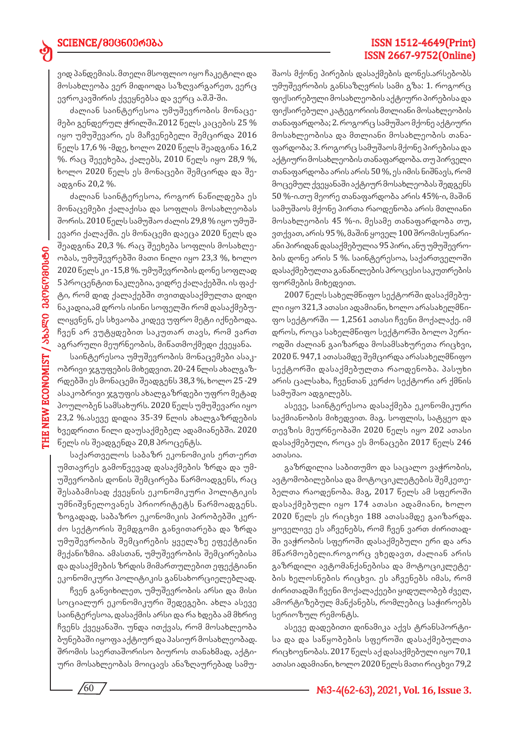ვიდ პანდემიას. მთელი მსოფლიო იყო ჩაკეტილი და მოსახლეობა ვერ მიდიოდა საზღვარგარეთ, ვერც ევროკავშირის ქვეყნებსა და ვერც ა.შ.შ-ში.

ძალიან საინტერესოა უმუშევრობის მონაცემები გენდერულ ჭრილში.2012 წელს კაცების 25 % იყო უმუშევარი, ეს მაჩვენებელი შემცირდა 2016 წელს 17,6 % -მდე, ხოლო 2020 წელს შეადგინა 16,2 %. რაც შეეეხება, ქალებს, 2010 წელს იყო 28,9 %, ხოლო 2020 წელს ეს მონაცები შემცირდა და შეადგინა 20,2 %.

ძალიან საინტერესოა, როგორ ნაწილდება ეს მონაცემები ქალაქისა და სოფლის მოსახლეობას შორის. 2010 წელს სამუშაო ძალის 29,8 % იყო უმუშევარი ქალაქში. ეს მონაცემი დაეცა 2020 წელს და შეადგინა 20,3 %. რაც შეეხება სოფლის მოსახლეობას, უმუშევრებში მათი წილი იყო 23,3 %, ხოლო 2020 წელს კი -15,8 %. უმუშევრობის დონე სოფლად 5 პროცენტით ნაკლებია, ვიდრე ქალაქებში. ის ფაქტი, რომ დიდ ქალაქებში თვითდასაქმულთა დიდი ნაკადია,ამ დროს ისინი სოფელში რომ დასაქმებულიყვნენ, ეს სხვაობა კიდევ უფრო მეტი იქნებოდა. ჩვენ არ ვუტყდებით საკუთარ თავს, რომ ვართ აგრარული მეურნეობის, მიწათმოქმედი ქვეყანა.

საინტერესოა უმუშევრობის მონაცემები ასაკობრივი ჯგუფების მიხედვით. 20-24 წლის ახალგაზრდებში ეს მონაცემი შეადგენს 38,3 %, ხოლო 25 -29 ასაკობრივი ჯგუფის ახალგაზრდები უფრო მეტად პოულობენ სამსახურს. 2020 წელს უმუშევარი იყო 23,2 %.ასევე დიდია 35-39 წლის ახალგაზრდების ხვედრითი წილი დაუსაქმებელ ადამიანებში. 2020 წელს ის შეადგენდა 20,8 პროცენტს.

საქართველოს საბაზრ ეკონომიკის ერთ-ერთ უმთავრეს გამოწვევად დასაქმების ზრდა და უმუშევრობის დონის შემცირება წარმოადგენს, რაც შესაბამისად ქვეყნის ეკონომიკური პოლიტიკის უმნიშვნელოვანეს პრიორიტეტს წარმოადგენს. ზოგადად, საბაზრო ეკონომიკის პირობებში კერძო სექტორის შემდგომი განვითარება და ზრდა უმუშევრობის შემცირების ყველაზე ეფექტიანი მექანიზმია. ამასთან, უმუშევრობის შემცირებისა და დასაქმების ზრდის მიმართულებით ეფექტიანი ეკონომიკური პოლიტიკის განსახორციელებლად.

ჩვენ განვიხილეთ, უმუშევრობის არსი და მისი სოციალურ ეკონომიკური შედეგები. ახლა ასევე საინტერესოა, დასაქმის არსი და რა ხდება ამ მხრივ ჩვენს ქვეყანაში. უნდა ითქვას, რომ მოსახლეობა ბუნებაში იყოფა აქტიურ და პასიურ მოსახლეობად. შრომის საერთაშორისო ბიუროს თანახმად, აქტიური მოსახლეობას მოიცავს ანაზღაურებად სამუშაოს მქონე პირების დასაქმების დონეს.არსებობს უმუშევრობის განსაზღვრის სამი გზა: 1. როგორც ფიქსირებული მოსახლეობის აქტიური პირებისა და ფიქსირებული კატეგორიის მთლიანი მოსახლეობის თანაფარდობა; 2. როგორც სამუშაო მქონე აქტიური მოსახლეობისა და მთლიანი მოსახლეობის თანაფარდობა; 3. როგორც სამუშაოს მქონე პირებისა და აქტიური მოსახლეობის თანაფარდობა. თუ პირველი თანაფარდობა არის არის 50 %, ეს იმის ნიშნავს, რომ მოცემულ ქვეყანაში აქტიურ მოსახლეობას შედგენს 50 %-ი.თუ მეორე თანაფარდობა არის 45%-ი, მაშინ სამუშაოს მქონე პირთა რაოდენობა არის მთლიანი მოსახლეობის 45 %-ი. მესამე თანაფარდობა თუ, ვთქვათ, არის 95 %, მაშინ ყოველ 100 შრომისუნარიანი პირიდან დასაქმებულია 95 პირი, ანუ უმუშევრობის დონე არის 5 %. საინტერესოა, საქართველოში დასაქმებულთა განაწილების პროცესი საკუთრების ფორმების მიხედვით.

ISSN 1512-4649(Print) ISSN 2667-9752(Online)

2007 წელს სახელმწიფო სექტორში დასაქმებული იყო 321,3 ათასი ადამიანი, ხოლო არასახელმწიფო სექტორში — 1,2561 ათასი ჩვენი მოქალაქე. იმ დროს, როცა სახელმწიფო სექტორში ბოლო პერიოდში ძალიან გაიზარდა მოსამსახურეთა რიცხვი, 2020 წ. 947,1 ათასამდე შემცირდა არასახელმწიფო სექტორში დასაქმებულთა რაოდენობა. პასუხი არის ცალსახა, ჩვენთან კერძო სექტორი არ ქმნის სამუშაო ადგილებს.

ასევე, საინტერესოა დასაქმება ეკონომიკური საქმიანობის მიხედვით. მაგ. სოფლის, სატყეო და თევზის მეურნეობაში 2020 წელს იყო 202 ათასი დასაქმებული, როცა ეს მონაცები 2017 წელს 246 ათასია.

გაზრდილია საბითუმო და საცალო ვაჭრობის, ავტომობილებისა და მოტოციკლეტების შემკეთებელთა რაოდენობა. მაგ, 2017 წელს ამ სფეროში დასაქმებული იყო 174 ათასი ადამიანი, ხოლო 2020 წელს ეს რიცხვი 188 ათასამდე გაიზარდა. ყოველივე ეს აჩვენებს, რომ ჩვენ ვართ ძირითადში ვაჭრობის სფეროში დასაქმებული ერი და არა მწარმოებელი.როგორც ვხედავთ, ძალიან არის გაზრდილი ავტომანქანებისა და მოტოციკლეტების ხელოსნების რიცხვი. ეს აჩვენებს იმას, რომ ძირითადში ჩვენი მოქალაქეები ყიდულობებ ძველ, ამორტიზებულ მანქანებს, რომლებიც საჭიროებს სერიოზულ რემონტს.

ასევე დადებითი დინამიკა აქვს ტრანსპორტისა და და საწყობების სფეროში დასაქმებულთა რიცხოვნობას. 2017 წელს აქ დასაქმებული იყო 70,1 ათასი ადამიანი, ხოლო 2020 წელს მათი რიცხვი 79,2

ed

 $\sqrt{60}$